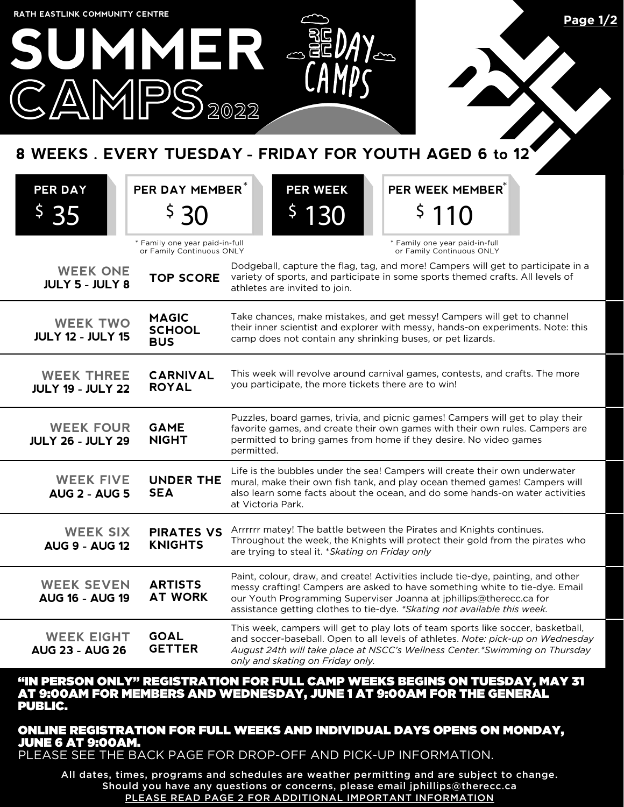

#### "IN PERSON ONLY" REGISTRATION FOR FULL CAMP WEEKS BEGINS ON TUESDAY, MAY 31 AT 9:00AM FOR MEMBERS AND WEDNESDAY, JUNE 1 AT 9:00AM FOR THE GENERAL PUBLIC.

### ONLINE REGISTRATION FOR FULL WEEKS AND INDIVIDUAL DAYS OPENS ON MONDAY, JUNE 6 AT 9:00AM.

PLEASE SEE THE BACK PAGE FOR DROP-OFF AND PICK-UP INFORMATION.

All dates, times, programs and schedules are weather permitting and are subject to change. Should you have any questions or concerns, please email jphillips@therecc.ca PLEASE READ PAGE 2 FOR ADDITIONAL IMPORTANT INFORMATION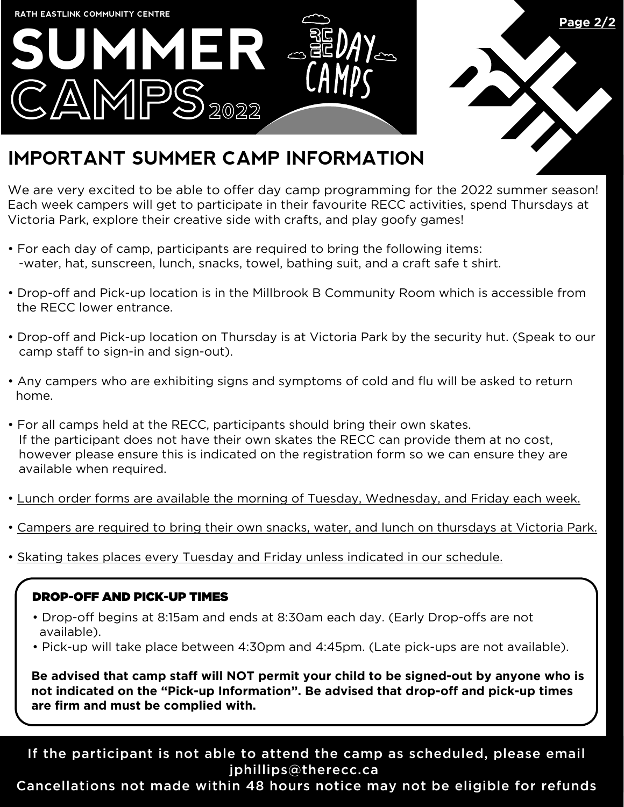



# **IMPORTANT SUMMER CAMP INFORMATION**

We are very excited to be able to offer day camp programming for the 2022 summer season! Each week campers will get to participate in their favourite RECC activities, spend Thursdays at Victoria Park, explore their creative side with crafts, and play goofy games!

- For each day of camp, participants are required to bring the following items: -water, hat, sunscreen, lunch, snacks, towel, bathing suit, and a craft safe t shirt.
- Drop-off and Pick-up location is in the Millbrook B Community Room which is accessible from the RECC lower entrance.
- Drop-off and Pick-up location on Thursday is at Victoria Park by the security hut. (Speak to our camp staff to sign-in and sign-out).
- Any campers who are exhibiting signs and symptoms of cold and flu will be asked to return home.
- For all camps held at the RECC, participants should bring their own skates. If the participant does not have their own skates the RECC can provide them at no cost, however please ensure this is indicated on the registration form so we can ensure they are available when required.
- Lunch order forms are available the morning of Tuesday, Wednesday, and Friday each week.
- Campers are required to bring their own snacks, water, and lunch on thursdays at Victoria Park.
- Skating takes places every Tuesday and Friday unless indicated in our schedule.

## DROP-OFF AND PICK-UP TIMES

- Drop-off begins at 8:15am and ends at 8:30am each day. (Early Drop-offs are not available).
- Pick-up will take place between 4:30pm and 4:45pm. (Late pick-ups are not available).

**Be advised that camp staff will NOT permit your child to be signed-out by anyone who is not indicated on the "Pick-up Information". Be advised that drop-off and pick-up times are firm and must be complied with.**

If the participant is not able to attend the camp as scheduled, please email jphillips@therecc.ca

Cancellations not made within 48 hours notice may not be eligible for refunds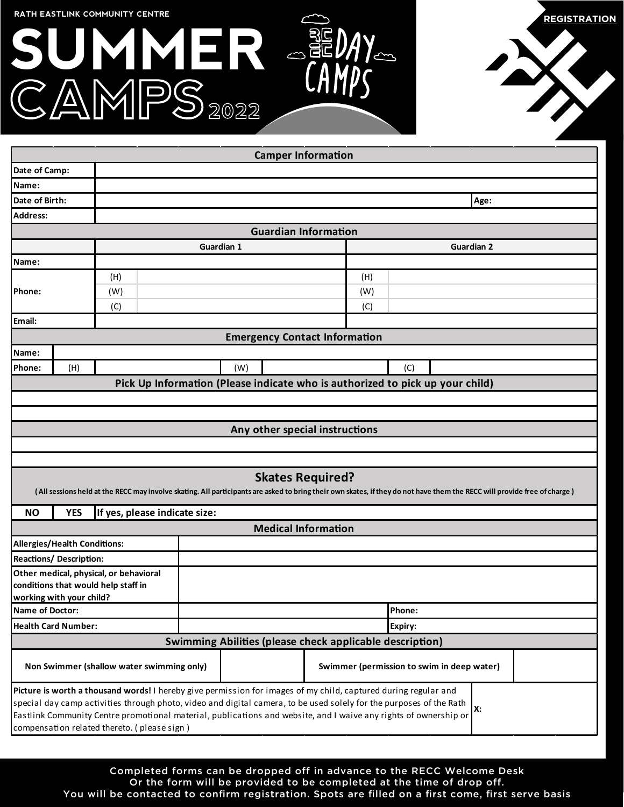|                                                                   | RATH EASTLINK COMMUNITY CENTRE<br>SUNNER -                                                                                                                                                                                                                                                                                                                                                                | DS 2022                                                                       |                                            |     |                   | <b>REGISTRATION</b> |
|-------------------------------------------------------------------|-----------------------------------------------------------------------------------------------------------------------------------------------------------------------------------------------------------------------------------------------------------------------------------------------------------------------------------------------------------------------------------------------------------|-------------------------------------------------------------------------------|--------------------------------------------|-----|-------------------|---------------------|
|                                                                   |                                                                                                                                                                                                                                                                                                                                                                                                           |                                                                               | <b>Camper Information</b>                  |     |                   |                     |
| Date of Camp:                                                     |                                                                                                                                                                                                                                                                                                                                                                                                           |                                                                               |                                            |     |                   |                     |
| Name:                                                             |                                                                                                                                                                                                                                                                                                                                                                                                           |                                                                               |                                            |     |                   |                     |
| Date of Birth:                                                    |                                                                                                                                                                                                                                                                                                                                                                                                           |                                                                               |                                            |     | Age:              |                     |
| <b>Address:</b>                                                   |                                                                                                                                                                                                                                                                                                                                                                                                           |                                                                               |                                            |     |                   |                     |
|                                                                   |                                                                                                                                                                                                                                                                                                                                                                                                           |                                                                               | <b>Guardian Information</b>                |     |                   |                     |
|                                                                   |                                                                                                                                                                                                                                                                                                                                                                                                           | <b>Guardian 1</b>                                                             |                                            |     | <b>Guardian 2</b> |                     |
| Name:                                                             |                                                                                                                                                                                                                                                                                                                                                                                                           |                                                                               |                                            |     |                   |                     |
|                                                                   | (H)                                                                                                                                                                                                                                                                                                                                                                                                       |                                                                               |                                            | (H) |                   |                     |
| Phone:                                                            | (W)                                                                                                                                                                                                                                                                                                                                                                                                       |                                                                               |                                            | (W) |                   |                     |
|                                                                   | (C)                                                                                                                                                                                                                                                                                                                                                                                                       |                                                                               |                                            | (C) |                   |                     |
| Email:                                                            |                                                                                                                                                                                                                                                                                                                                                                                                           |                                                                               |                                            |     |                   |                     |
|                                                                   |                                                                                                                                                                                                                                                                                                                                                                                                           |                                                                               | <b>Emergency Contact Information</b>       |     |                   |                     |
| Name:                                                             |                                                                                                                                                                                                                                                                                                                                                                                                           |                                                                               |                                            |     |                   |                     |
| Phone:                                                            | (H)                                                                                                                                                                                                                                                                                                                                                                                                       | (W)                                                                           |                                            | (C) |                   |                     |
|                                                                   |                                                                                                                                                                                                                                                                                                                                                                                                           | Pick Up Information (Please indicate who is authorized to pick up your child) |                                            |     |                   |                     |
|                                                                   |                                                                                                                                                                                                                                                                                                                                                                                                           |                                                                               |                                            |     |                   |                     |
|                                                                   |                                                                                                                                                                                                                                                                                                                                                                                                           |                                                                               |                                            |     |                   |                     |
|                                                                   |                                                                                                                                                                                                                                                                                                                                                                                                           |                                                                               | Any other special instructions             |     |                   |                     |
|                                                                   |                                                                                                                                                                                                                                                                                                                                                                                                           |                                                                               |                                            |     |                   |                     |
| <b>NO</b>                                                         | (All sessions held at the RECC may involve skating. All participants are asked to bring their own skates, if they do not have them the RECC will provide free of charge)<br><b>YES</b><br>If yes, please indicate size:                                                                                                                                                                                   |                                                                               | <b>Skates Required?</b>                    |     |                   |                     |
|                                                                   |                                                                                                                                                                                                                                                                                                                                                                                                           |                                                                               |                                            |     |                   |                     |
| <b>Medical Information</b><br><b>Allergies/Health Conditions:</b> |                                                                                                                                                                                                                                                                                                                                                                                                           |                                                                               |                                            |     |                   |                     |
| <b>Reactions/ Description:</b>                                    |                                                                                                                                                                                                                                                                                                                                                                                                           |                                                                               |                                            |     |                   |                     |
|                                                                   | Other medical, physical, or behavioral                                                                                                                                                                                                                                                                                                                                                                    |                                                                               |                                            |     |                   |                     |
|                                                                   | conditions that would help staff in                                                                                                                                                                                                                                                                                                                                                                       |                                                                               |                                            |     |                   |                     |
| working with your child?                                          |                                                                                                                                                                                                                                                                                                                                                                                                           |                                                                               |                                            |     |                   |                     |
| <b>Name of Doctor:</b>                                            |                                                                                                                                                                                                                                                                                                                                                                                                           | Phone:                                                                        |                                            |     |                   |                     |
| <b>Health Card Number:</b>                                        |                                                                                                                                                                                                                                                                                                                                                                                                           | Expiry:                                                                       |                                            |     |                   |                     |
|                                                                   |                                                                                                                                                                                                                                                                                                                                                                                                           | Swimming Abilities (please check applicable description)                      |                                            |     |                   |                     |
|                                                                   | Non Swimmer (shallow water swimming only)                                                                                                                                                                                                                                                                                                                                                                 |                                                                               | Swimmer (permission to swim in deep water) |     |                   |                     |
|                                                                   | Picture is worth a thousand words! I hereby give permission for images of my child, captured during regular and<br>special day camp activities through photo, video and digital camera, to be used solely for the purposes of the Rath<br>Eastlink Community Centre promotional material, publications and website, and I waive any rights of ownership or<br>compensation related thereto. (please sign) |                                                                               |                                            |     | Х:                |                     |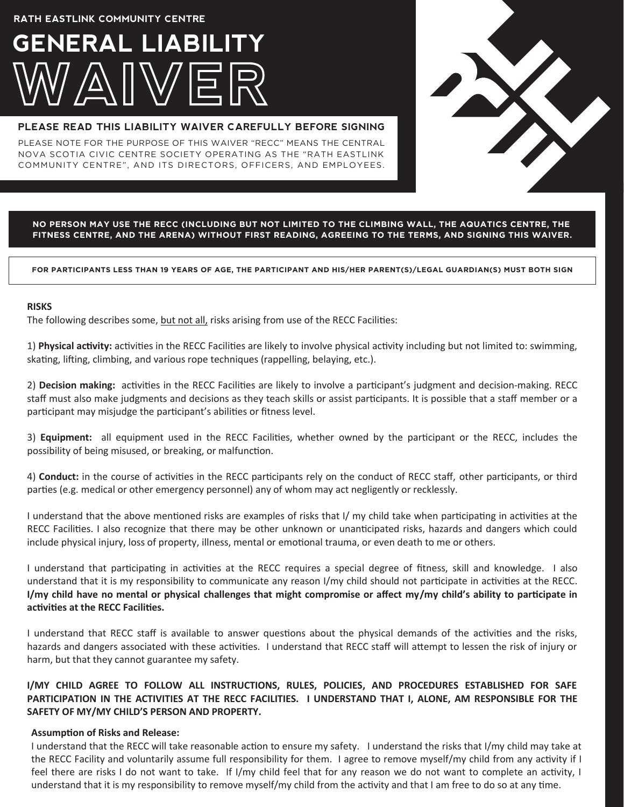**RATH EASTLINK COMMUNITY CENTRE**

# **GENERAL LIABILITY**

#### **PLEASE READ THIS LIABILITY WAIVER CAREFULLY BEFORE SIGNING**

PLEASE NOTE FOR THE PURPOSE OF THIS WAIVER "RECC" MEANS THE CENTRAL NOVA SCOTIA CIVIC CENTRE SOCIETY OPERATING AS THE "RATH EASTLINK COMMUNITY CENTRE", AND ITS DIRECTORS, OFFICERS, AND EMPLOYEES.



#### **NO PERSON MAY USE THE RECC (INCLUDING BUT NOT LIMITED TO THE CLIMBING WALL, THE AQUATICS CENTRE, THE FITNESS CENTRE, AND THE ARENA) WITHOUT FIRST READING, AGREEING TO THE TERMS, AND SIGNING THIS WAIVER.**

**FOR PARTICIPANTS LESS THAN 19 YEARS OF AGE, THE PARTICIPANT AND HIS/HER PARENT(S)/LEGAL GUARDIAN(S) MUST BOTH SIGN**

#### **RISKS**

The following describes some, but not all, risks arising from use of the RECC Facilities:

1) **Physical activity:** activities in the RECC Facilities are likely to involve physical activity including but not limited to: swimming, skating, lifting, climbing, and various rope techniques (rappelling, belaying, etc.).

2) **Decision making:** activities in the RECC Facilities are likely to involve a participant's judgment and decision-making. RECC staff must also make judgments and decisions as they teach skills or assist participants. It is possible that a staff member or a participant may misjudge the participant's abilities or fitness level.

3) **Equipment:** all equipment used in the RECC Facilities, whether owned by the participant or the RECC, includes the possibility of being misused, or breaking, or malfunction.

4) **Conduct:** in the course of activities in the RECC participants rely on the conduct of RECC staff, other participants, or third parties (e.g. medical or other emergency personnel) any of whom may act negligently or recklessly.

I understand that the above mentioned risks are examples of risks that I/ my child take when participating in activities at the RECC Facilities. I also recognize that there may be other unknown or unanticipated risks, hazards and dangers which could include physical injury, loss of property, illness, mental or emotional trauma, or even death to me or others.

I understand that participating in activities at the RECC requires a special degree of fitness, skill and knowledge. I also understand that it is my responsibility to communicate any reason I/my child should not participate in activities at the RECC. I/my child have no mental or physical challenges that might compromise or affect my/my child's ability to participate in **activities at the RECC Facilities.**

I understand that RECC staff is available to answer questions about the physical demands of the activities and the risks, hazards and dangers associated with these activities. I understand that RECC staff will attempt to lessen the risk of injury or harm, but that they cannot guarantee my safety.

**I/MY CHILD AGREE TO FOLLOW ALL INSTRUCTIONS, RULES, POLICIES, AND PROCEDURES ESTABLISHED FOR SAFE** PARTICIPATION IN THE ACTIVITIES AT THE RECC FACILITIES. I UNDERSTAND THAT I, ALONE, AM RESPONSIBLE FOR THE **SAFETY OF MY/MY CHILD'S PERSON AND PROPERTY.**

#### **Assumption of Risks and Release:**

I understand that the RECC will take reasonable action to ensure my safety. I understand the risks that I/my child may take at the RECC Facility and voluntarily assume full responsibility for them. I agree to remove myself/my child from any activity if I feel there are risks I do not want to take. If I/my child feel that for any reason we do not want to complete an activity, I understand that it is my responsibility to remove myself/my child from the activity and that I am free to do so at any time.